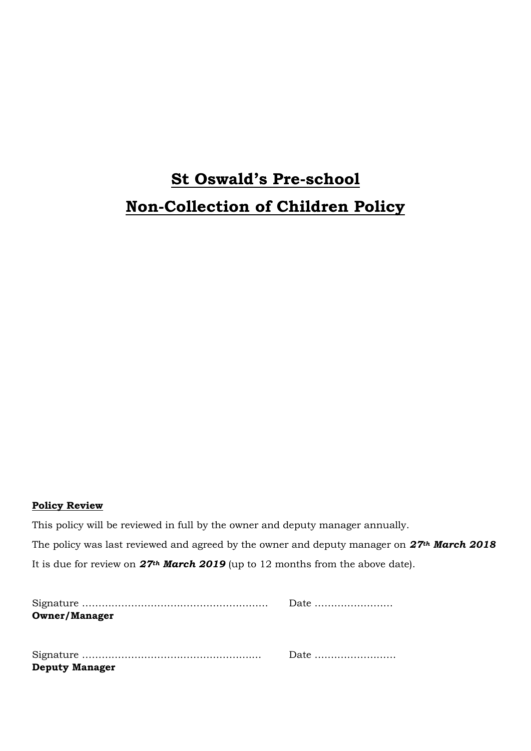# **St Oswald's Pre-school Non-Collection of Children Policy**

#### **Policy Review**

This policy will be reviewed in full by the owner and deputy manager annually. The policy was last reviewed and agreed by the owner and deputy manager on *27th March 2018* It is due for review on *27th March 2019* (up to 12 months from the above date).

| <b>Owner/Manager</b>  |  |
|-----------------------|--|
|                       |  |
|                       |  |
|                       |  |
| <b>Deputy Manager</b> |  |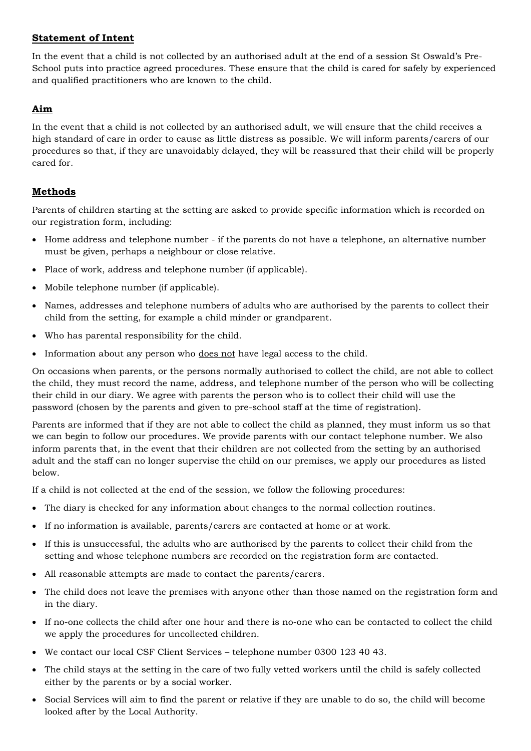### **Statement of Intent**

In the event that a child is not collected by an authorised adult at the end of a session St Oswald's Pre-School puts into practice agreed procedures. These ensure that the child is cared for safely by experienced and qualified practitioners who are known to the child.

# **Aim**

In the event that a child is not collected by an authorised adult, we will ensure that the child receives a high standard of care in order to cause as little distress as possible. We will inform parents/carers of our procedures so that, if they are unavoidably delayed, they will be reassured that their child will be properly cared for.

# **Methods**

Parents of children starting at the setting are asked to provide specific information which is recorded on our registration form, including:

- Home address and telephone number if the parents do not have a telephone, an alternative number must be given, perhaps a neighbour or close relative.
- Place of work, address and telephone number (if applicable).
- Mobile telephone number (if applicable).
- Names, addresses and telephone numbers of adults who are authorised by the parents to collect their child from the setting, for example a child minder or grandparent.
- Who has parental responsibility for the child.
- Information about any person who does not have legal access to the child.

On occasions when parents, or the persons normally authorised to collect the child, are not able to collect the child, they must record the name, address, and telephone number of the person who will be collecting their child in our diary. We agree with parents the person who is to collect their child will use the password (chosen by the parents and given to pre-school staff at the time of registration).

Parents are informed that if they are not able to collect the child as planned, they must inform us so that we can begin to follow our procedures. We provide parents with our contact telephone number. We also inform parents that, in the event that their children are not collected from the setting by an authorised adult and the staff can no longer supervise the child on our premises, we apply our procedures as listed below.

If a child is not collected at the end of the session, we follow the following procedures:

- The diary is checked for any information about changes to the normal collection routines.
- If no information is available, parents/carers are contacted at home or at work.
- If this is unsuccessful, the adults who are authorised by the parents to collect their child from the setting and whose telephone numbers are recorded on the registration form are contacted.
- All reasonable attempts are made to contact the parents/carers.
- The child does not leave the premises with anyone other than those named on the registration form and in the diary.
- If no-one collects the child after one hour and there is no-one who can be contacted to collect the child we apply the procedures for uncollected children.
- We contact our local CSF Client Services telephone number 0300 123 40 43.
- The child stays at the setting in the care of two fully vetted workers until the child is safely collected either by the parents or by a social worker.
- Social Services will aim to find the parent or relative if they are unable to do so, the child will become looked after by the Local Authority.